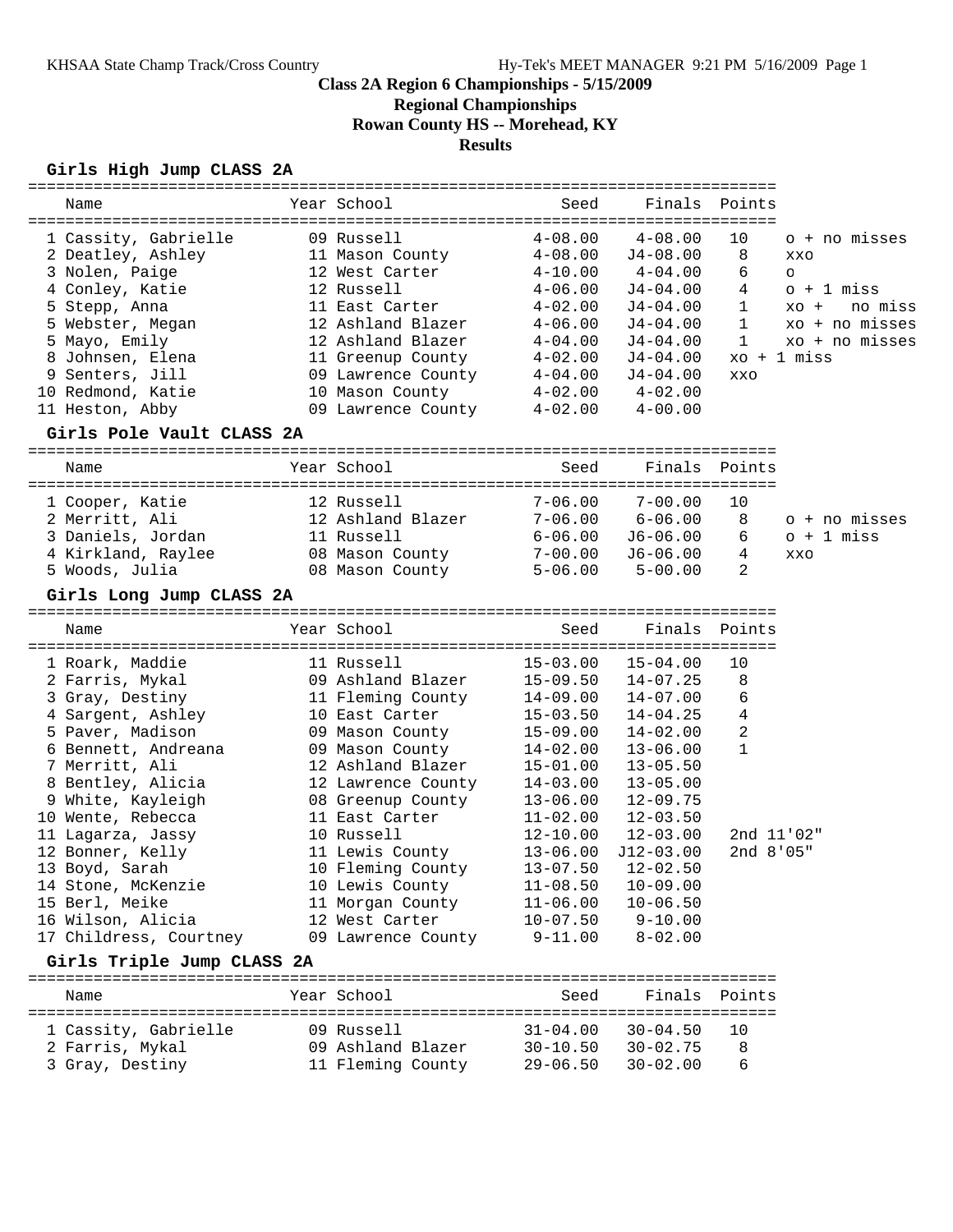**Regional Championships**

**Rowan County HS -- Morehead, KY**

#### **Results**

### **Girls High Jump CLASS 2A**

| Name                       | Year School        | Seed                         | Finals       | Points       |                   |
|----------------------------|--------------------|------------------------------|--------------|--------------|-------------------|
|                            |                    |                              |              |              |                   |
| 1 Cassity, Gabrielle       | 09 Russell         | $4 - 08.00$                  | $4 - 08.00$  | 10           | o + no misses     |
| 2 Deatley, Ashley          | 11 Mason County    | $4 - 08.00$                  | $J4 - 08.00$ | 8            | <b>XXO</b>        |
| 3 Nolen, Paige             | 12 West Carter     | $4 - 10.00$                  | $4 - 04.00$  | 6            | $\circ$           |
| 4 Conley, Katie            | 12 Russell         | $4 - 06.00$                  | $J4 - 04.00$ | 4            | o + 1 miss        |
| 5 Stepp, Anna              | 11 East Carter     | $4 - 02.00$                  | J4-04.00     | $\mathbf{1}$ | no miss<br>$XO +$ |
| 5 Webster, Megan           | 12 Ashland Blazer  | $4 - 06.00$                  | $J4-04.00$   | $\mathbf{1}$ | xo + no misses    |
| 5 Mayo, Emily              | 12 Ashland Blazer  | $4 - 04.00$                  | $J4-04.00$   | 1            | xo + no misses    |
| 8 Johnsen, Elena           | 11 Greenup County  | $4 - 02.00$                  | J4-04.00     |              | $xo + 1 miss$     |
| 9 Senters, Jill            | 09 Lawrence County | $4 - 04.00$                  | J4-04.00     | <b>XXO</b>   |                   |
| 10 Redmond, Katie          | 10 Mason County    | $4 - 02.00$                  | $4 - 02.00$  |              |                   |
| 11 Heston, Abby            | 09 Lawrence County | $4 - 02.00$                  | $4 - 00.00$  |              |                   |
|                            |                    |                              |              |              |                   |
| Girls Pole Vault CLASS 2A  |                    | ============================ |              |              |                   |
| Name                       | Year School        | Seed                         | Finals       | Points       |                   |
|                            |                    |                              |              |              |                   |
| 1 Cooper, Katie            | 12 Russell         | $7 - 06.00$                  | $7 - 00.00$  | 10           |                   |
| 2 Merritt, Ali             | 12 Ashland Blazer  | $7 - 06.00$                  | $6 - 06.00$  | 8            | o + no misses     |
| 3 Daniels, Jordan          | 11 Russell         | $6 - 06.00$                  | $J6-06.00$   | 6            | $o + 1$ miss      |
| 4 Kirkland, Raylee         | 08 Mason County    | 7-00.00                      | $J6-06.00$   | 4            | XXO               |
| 5 Woods, Julia             | 08 Mason County    | $5 - 06.00$                  | $5 - 00.00$  | 2            |                   |
| Girls Long Jump CLASS 2A   |                    |                              |              |              |                   |
|                            |                    |                              |              |              |                   |
| Name                       | Year School        | Seed                         | Finals       | Points       |                   |
| 1 Roark, Maddie            | 11 Russell         | $15 - 03.00$                 | $15 - 04.00$ | 10           |                   |
| 2 Farris, Mykal            | 09 Ashland Blazer  | $15 - 09.50$                 | $14 - 07.25$ | 8            |                   |
| 3 Gray, Destiny            | 11 Fleming County  | $14 - 09.00$                 | $14 - 07.00$ | 6            |                   |
| 4 Sargent, Ashley          | 10 East Carter     | $15 - 03.50$                 | $14 - 04.25$ | 4            |                   |
| 5 Paver, Madison           |                    | $15 - 09.00$                 | $14 - 02.00$ | 2            |                   |
|                            | 09 Mason County    |                              |              | $\mathbf{1}$ |                   |
| 6 Bennett, Andreana        | 09 Mason County    | $14 - 02.00$                 | $13 - 06.00$ |              |                   |
| 7 Merritt, Ali             | 12 Ashland Blazer  | $15 - 01.00$                 | $13 - 05.50$ |              |                   |
| 8 Bentley, Alicia          | 12 Lawrence County | $14 - 03.00$                 | $13 - 05.00$ |              |                   |
| White, Kayleigh            | 08 Greenup County  | $13 - 06.00$                 | $12 - 09.75$ |              |                   |
| 10 Wente, Rebecca          | 11 East Carter     | $11 - 02.00$                 | $12 - 03.50$ |              |                   |
| 11 Lagarza, Jassy          | 10 Russell         | $12 - 10.00$                 | $12 - 03.00$ | 2nd 11'02"   |                   |
| 12 Bonner, Kelly           | 11 Lewis County    | $13 - 06.00$                 | J12-03.00    | 2nd 8'05"    |                   |
| 13 Boyd, Sarah             | 10 Fleming County  | $13 - 07.50$                 | $12 - 02.50$ |              |                   |
| 14 Stone, McKenzie         | 10 Lewis County    | $11 - 08.50$                 | $10 - 09.00$ |              |                   |
| 15 Berl, Meike             | 11 Morgan County   | $11 - 06.00$                 | $10 - 06.50$ |              |                   |
| 16 Wilson, Alicia          | 12 West Carter     | $10 - 07.50$                 | $9 - 10.00$  |              |                   |
| 17 Childress, Courtney     | 09 Lawrence County | $9 - 11.00$                  | $8 - 02.00$  |              |                   |
| Girls Triple Jump CLASS 2A |                    |                              |              |              |                   |
|                            |                    |                              |              |              |                   |
| Name                       | Year School        | Seed                         | Finals       | Points       |                   |
| 1 Cassity, Gabrielle       | 09 Russell         | $31 - 04.00$                 | $30 - 04.50$ | 10           |                   |
| 2 Farris, Mykal            | 09 Ashland Blazer  | $30 - 10.50$                 | $30 - 02.75$ | 8            |                   |
| 3 Gray, Destiny            | 11 Fleming County  | $29 - 06.50$                 | $30 - 02.00$ | 6            |                   |
|                            |                    |                              |              |              |                   |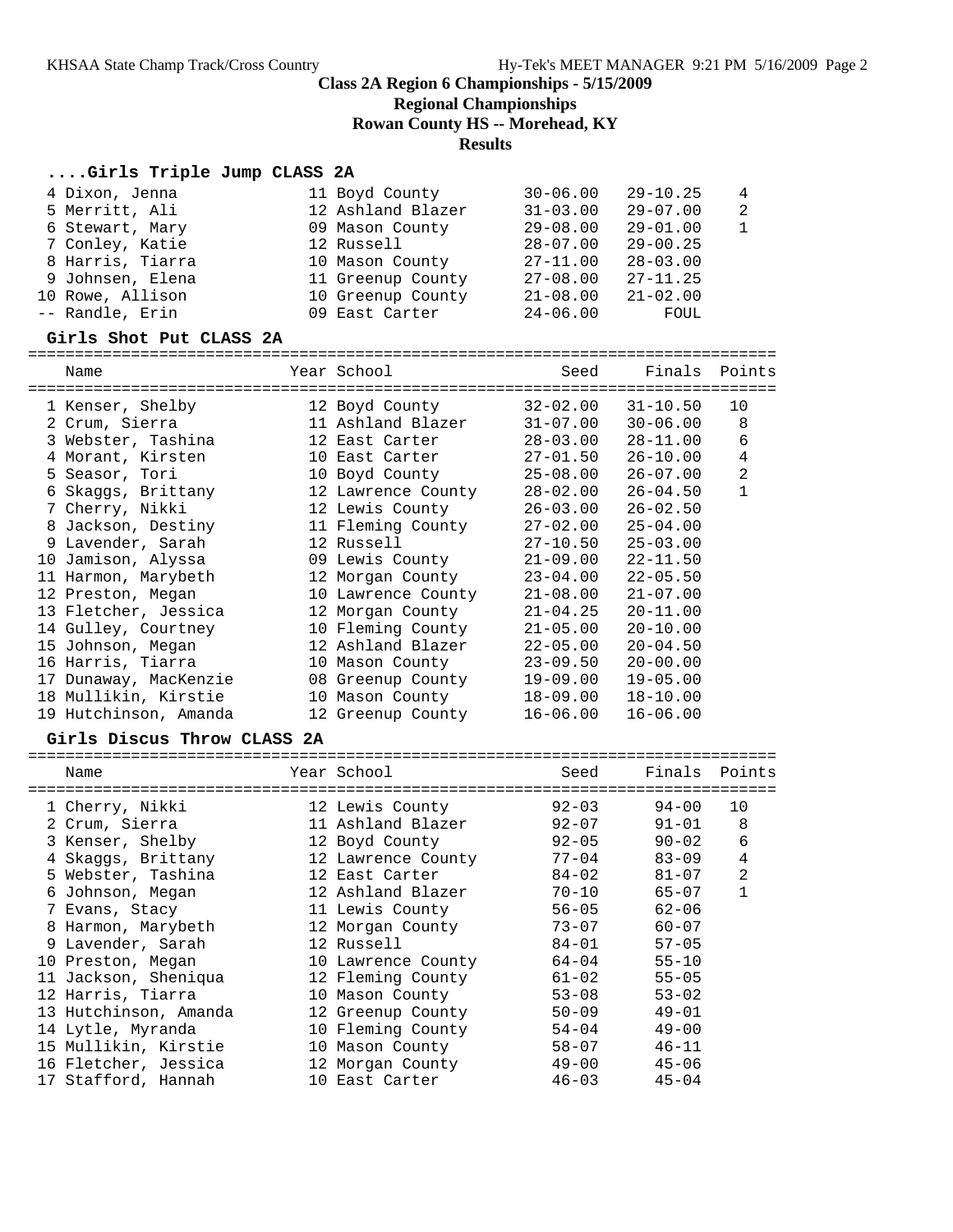**Regional Championships**

**Rowan County HS -- Morehead, KY**

#### **Results**

#### **....Girls Triple Jump CLASS 2A**

| 4 Dixon, Jenna   | 11 Boyd County    | $30 - 06.00$ | 29-10.25     | 4  |
|------------------|-------------------|--------------|--------------|----|
| 5 Merritt, Ali   | 12 Ashland Blazer | $31 - 03.00$ | 29-07.00     | -2 |
| 6 Stewart, Mary  | 09 Mason County   | $29 - 08.00$ | $29 - 01.00$ |    |
| 7 Conley, Katie  | 12 Russell        | $28 - 07.00$ | $29 - 00.25$ |    |
| 8 Harris, Tiarra | 10 Mason County   | $27 - 11.00$ | $28 - 03.00$ |    |
| 9 Johnsen, Elena | 11 Greenup County | $27 - 08.00$ | $27 - 11.25$ |    |
| 10 Rowe, Allison | 10 Greenup County | $21 - 08.00$ | $21 - 02.00$ |    |
| -- Randle, Erin  | 09 East Carter    | $24 - 06.00$ | FOUL         |    |
|                  |                   |              |              |    |

#### **Girls Shot Put CLASS 2A**

================================================================================ Name Year School Seed Finals Points ================================================================================ 1 Kenser, Shelby 12 Boyd County 32-02.00 31-10.50 10 2 Crum, Sierra 11 Ashland Blazer 31-07.00 30-06.00 8 3 Webster, Tashina 12 East Carter 28-03.00 28-11.00 6 4 Morant, Kirsten 10 East Carter 27-01.50 26-10.00 4 5 Seasor, Tori 10 Boyd County 25-08.00 26-07.00 2 6 Skaggs, Brittany 12 Lawrence County 28-02.00 26-04.50 1 7 Cherry, Nikki 12 Lewis County 26-03.00 26-02.50 8 Jackson, Destiny 11 Fleming County 27-02.00 25-04.00 9 Lavender, Sarah 12 Russell 27-10.50 25-03.00 10 Jamison, Alyssa 09 Lewis County 21-09.00 22-11.50 11 Harmon, Marybeth 12 Morgan County 23-04.00 22-05.50 12 Preston, Megan 10 Lawrence County 21-08.00 21-07.00 13 Fletcher, Jessica 12 Morgan County 21-04.25 20-11.00 14 Gulley, Courtney 10 Fleming County 21-05.00 20-10.00 15 Johnson, Megan 12 Ashland Blazer 22-05.00 20-04.50 16 Harris, Tiarra 10 Mason County 23-09.50 20-00.00 17 Dunaway, MacKenzie 08 Greenup County 19-09.00 19-05.00 18 Mullikin, Kirstie 10 Mason County 18-09.00 18-10.00 19 Hutchinson, Amanda 12 Greenup County 16-06.00 16-06.00

#### **Girls Discus Throw CLASS 2A**

| Name                  |                 | Seed                                                                                                                                                                                                                                                                                                                                                     |           |                                                                                                                                                                                                                       |
|-----------------------|-----------------|----------------------------------------------------------------------------------------------------------------------------------------------------------------------------------------------------------------------------------------------------------------------------------------------------------------------------------------------------------|-----------|-----------------------------------------------------------------------------------------------------------------------------------------------------------------------------------------------------------------------|
|                       |                 | $92 - 03$                                                                                                                                                                                                                                                                                                                                                | 94-00     | 10                                                                                                                                                                                                                    |
| 2 Crum, Sierra        |                 |                                                                                                                                                                                                                                                                                                                                                          | $91 - 01$ | 8                                                                                                                                                                                                                     |
| 3 Kenser, Shelby      |                 |                                                                                                                                                                                                                                                                                                                                                          | $90 - 02$ | 6                                                                                                                                                                                                                     |
| 4 Skaggs, Brittany    |                 |                                                                                                                                                                                                                                                                                                                                                          | $83 - 09$ | 4                                                                                                                                                                                                                     |
| 5 Webster, Tashina    |                 |                                                                                                                                                                                                                                                                                                                                                          | $81 - 07$ | 2                                                                                                                                                                                                                     |
| 6 Johnson, Megan      |                 |                                                                                                                                                                                                                                                                                                                                                          | $65 - 07$ | $\mathbf{1}$                                                                                                                                                                                                          |
| 7 Evans, Stacy        |                 |                                                                                                                                                                                                                                                                                                                                                          | $62 - 06$ |                                                                                                                                                                                                                       |
| 8 Harmon, Marybeth    |                 |                                                                                                                                                                                                                                                                                                                                                          | $60 - 07$ |                                                                                                                                                                                                                       |
| 9 Lavender, Sarah     |                 |                                                                                                                                                                                                                                                                                                                                                          | $57 - 05$ |                                                                                                                                                                                                                       |
| 10 Preston, Megan     |                 |                                                                                                                                                                                                                                                                                                                                                          | $55 - 10$ |                                                                                                                                                                                                                       |
| 11 Jackson, Sheniqua  |                 |                                                                                                                                                                                                                                                                                                                                                          | $55 - 05$ |                                                                                                                                                                                                                       |
| 12 Harris, Tiarra     |                 |                                                                                                                                                                                                                                                                                                                                                          | $53 - 02$ |                                                                                                                                                                                                                       |
| 13 Hutchinson, Amanda |                 |                                                                                                                                                                                                                                                                                                                                                          | $49 - 01$ |                                                                                                                                                                                                                       |
| 14 Lytle, Myranda     |                 |                                                                                                                                                                                                                                                                                                                                                          | $49 - 00$ |                                                                                                                                                                                                                       |
| 15 Mullikin, Kirstie  |                 |                                                                                                                                                                                                                                                                                                                                                          | $46 - 11$ |                                                                                                                                                                                                                       |
| 16 Fletcher, Jessica  |                 |                                                                                                                                                                                                                                                                                                                                                          | $45 - 06$ |                                                                                                                                                                                                                       |
| 17 Stafford, Hannah   |                 |                                                                                                                                                                                                                                                                                                                                                          | $45 - 04$ |                                                                                                                                                                                                                       |
|                       | 1 Cherry, Nikki | Year School<br>12 Lewis County<br>11 Ashland Blazer<br>12 Boyd County<br>12 Lawrence County<br>12 East Carter<br>12 Ashland Blazer<br>11 Lewis County<br>12 Morgan County<br>12 Russell<br>10 Lawrence County<br>12 Fleming County<br>10 Mason County<br>12 Greenup County<br>10 Fleming County<br>10 Mason County<br>12 Morgan County<br>10 East Carter |           | Finals Points<br>$92 - 07$<br>$92 - 05$<br>$77 - 04$<br>$84 - 02$<br>$70 - 10$<br>$56 - 05$<br>$73 - 07$<br>$84 - 01$<br>64-04<br>61-02<br>$53 - 08$<br>$50 - 09$<br>$54 - 04$<br>$58 - 07$<br>$49 - 00$<br>$46 - 03$ |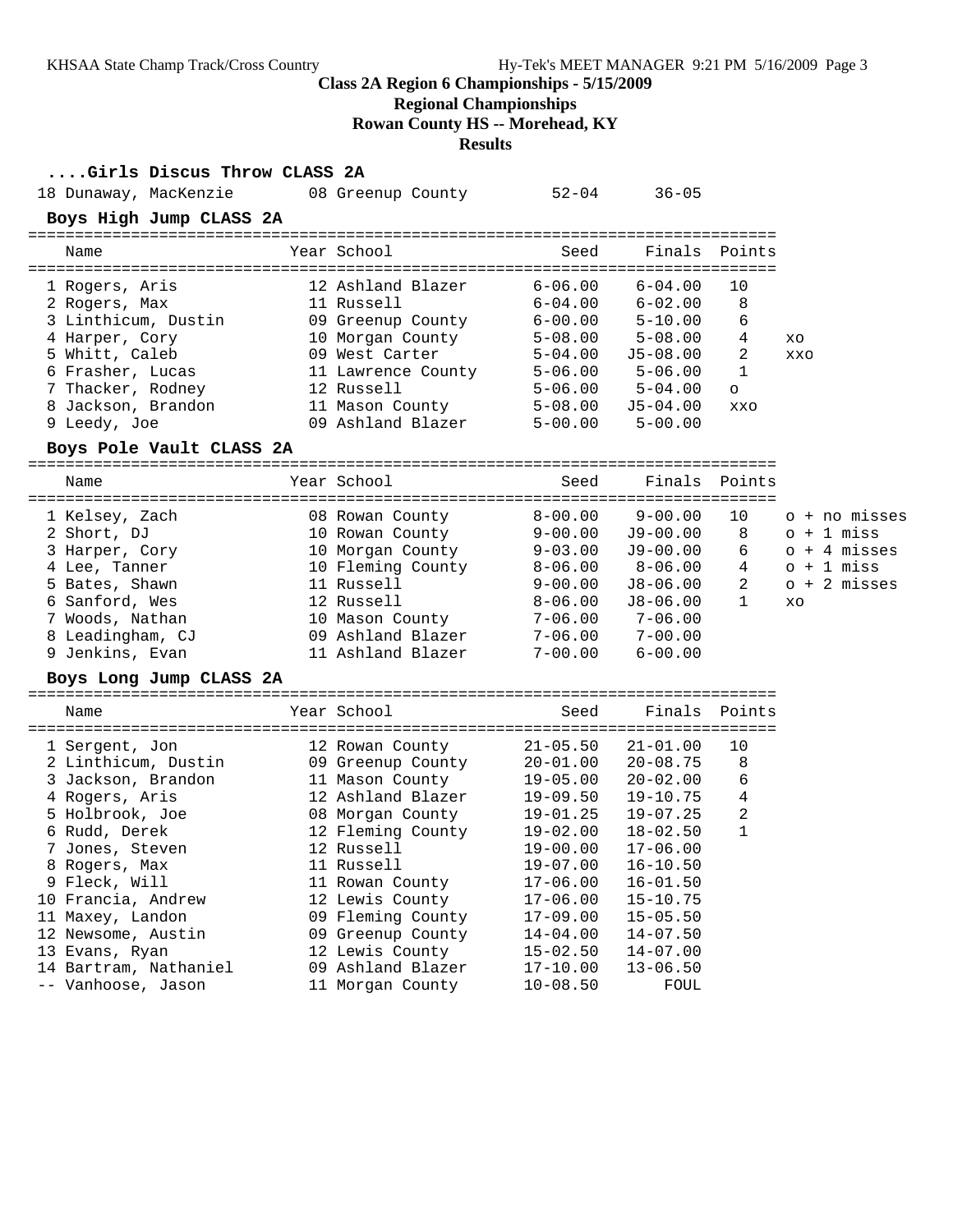**Regional Championships**

**Rowan County HS -- Morehead, KY**

#### **Results**

#### **....Girls Discus Throw CLASS 2A**

| 18 Dunaway, MacKenzie    | 08 Greenup County  | $52 - 04$    | $36 - 05$    |               |                |
|--------------------------|--------------------|--------------|--------------|---------------|----------------|
| Boys High Jump CLASS 2A  |                    |              |              |               |                |
| Name                     | Year School        | Seed         |              | Finals Points |                |
| 1 Rogers, Aris           | 12 Ashland Blazer  | $6 - 06.00$  | $6 - 04.00$  | 10            |                |
| 2 Rogers, Max            | 11 Russell         | $6 - 04.00$  | $6 - 02.00$  | 8             |                |
| 3 Linthicum, Dustin      | 09 Greenup County  | $6 - 00.00$  | $5 - 10.00$  | 6             |                |
| 4 Harper, Cory           | 10 Morgan County   | $5 - 08.00$  | $5 - 08.00$  | 4             | XO             |
| 5 Whitt, Caleb           | 09 West Carter     | $5 - 04.00$  | $J5-08.00$   | 2             | XXO            |
| 6 Frasher, Lucas         | 11 Lawrence County | $5 - 06.00$  | $5 - 06.00$  | 1             |                |
| 7 Thacker, Rodney        | 12 Russell         | $5 - 06.00$  | $5 - 04.00$  | $\circ$       |                |
| 8 Jackson, Brandon       | 11 Mason County    | $5 - 08.00$  | $J5-04.00$   | XXO           |                |
| 9 Leedy, Joe             | 09 Ashland Blazer  | $5 - 00.00$  | $5 - 00.00$  |               |                |
| Boys Pole Vault CLASS 2A |                    |              |              |               |                |
| Name                     | Year School        | Seed         | Finals       | Points        |                |
| 1 Kelsey, Zach           | 08 Rowan County    | $8 - 00.00$  | $9 - 00.00$  | 10            | o + no misses  |
| 2 Short, DJ              | 10 Rowan County    | $9 - 00.00$  | $J9 - 00.00$ | 8             | $o + 1$ miss   |
| 3 Harper, Cory           | 10 Morgan County   | $9 - 03.00$  | $J9-00.00$   | 6             | $o + 4$ misses |
| 4 Lee, Tanner            | 10 Fleming County  | $8 - 06.00$  | $8 - 06.00$  | 4             | $o + 1$ miss   |
| 5 Bates, Shawn           | 11 Russell         | $9 - 00.00$  | J8-06.00     | 2             | $o + 2$ misses |
| 6 Sanford, Wes           | 12 Russell         | $8 - 06.00$  | $J8 - 06.00$ | $\mathbf{1}$  | XO             |
| 7 Woods, Nathan          | 10 Mason County    | $7 - 06.00$  | $7 - 06.00$  |               |                |
| 8 Leadingham, CJ         | 09 Ashland Blazer  | $7 - 06.00$  | $7 - 00.00$  |               |                |
| 9 Jenkins, Evan          | 11 Ashland Blazer  | $7 - 00.00$  | $6 - 00.00$  |               |                |
| Boys Long Jump CLASS 2A  |                    |              |              |               |                |
| Name                     | Year School        | Seed         | Finals       | Points        |                |
| 1 Sergent, Jon           | 12 Rowan County    | $21 - 05.50$ | $21 - 01.00$ | 10            |                |
| 2 Linthicum, Dustin      | 09 Greenup County  | $20 - 01.00$ | $20 - 08.75$ | 8             |                |
| 3 Jackson, Brandon       | 11 Mason County    | $19 - 05.00$ | $20 - 02.00$ | 6             |                |
| 4 Rogers, Aris           | 12 Ashland Blazer  | $19 - 09.50$ | $19 - 10.75$ | 4             |                |
| 5 Holbrook, Joe          | 08 Morgan County   | $19 - 01.25$ | $19 - 07.25$ | 2             |                |
| 6 Rudd, Derek            | 12 Fleming County  | $19 - 02.00$ | $18 - 02.50$ | 1             |                |
| 7 Jones, Steven          | 12 Russell         | $19 - 00.00$ | $17 - 06.00$ |               |                |
| 8 Rogers, Max            | 11 Russell         | $19 - 07.00$ | $16 - 10.50$ |               |                |
| 9 Fleck, Will            | 11 Rowan County    | $17 - 06.00$ | $16 - 01.50$ |               |                |
| 10 Francia, Andrew       | 12 Lewis County    | $17 - 06.00$ | $15 - 10.75$ |               |                |
| 11 Maxey, Landon         | 09 Fleming County  | $17 - 09.00$ | $15 - 05.50$ |               |                |
| 12 Newsome, Austin       | 09 Greenup County  | $14 - 04.00$ | $14 - 07.50$ |               |                |
| 13 Evans, Ryan           | 12 Lewis County    | $15 - 02.50$ | $14 - 07.00$ |               |                |
| 14 Bartram, Nathaniel    | 09 Ashland Blazer  | $17 - 10.00$ | $13 - 06.50$ |               |                |
|                          |                    |              |              |               |                |

-- Vanhoose, Jason 11 Morgan County 10-08.50 FOUL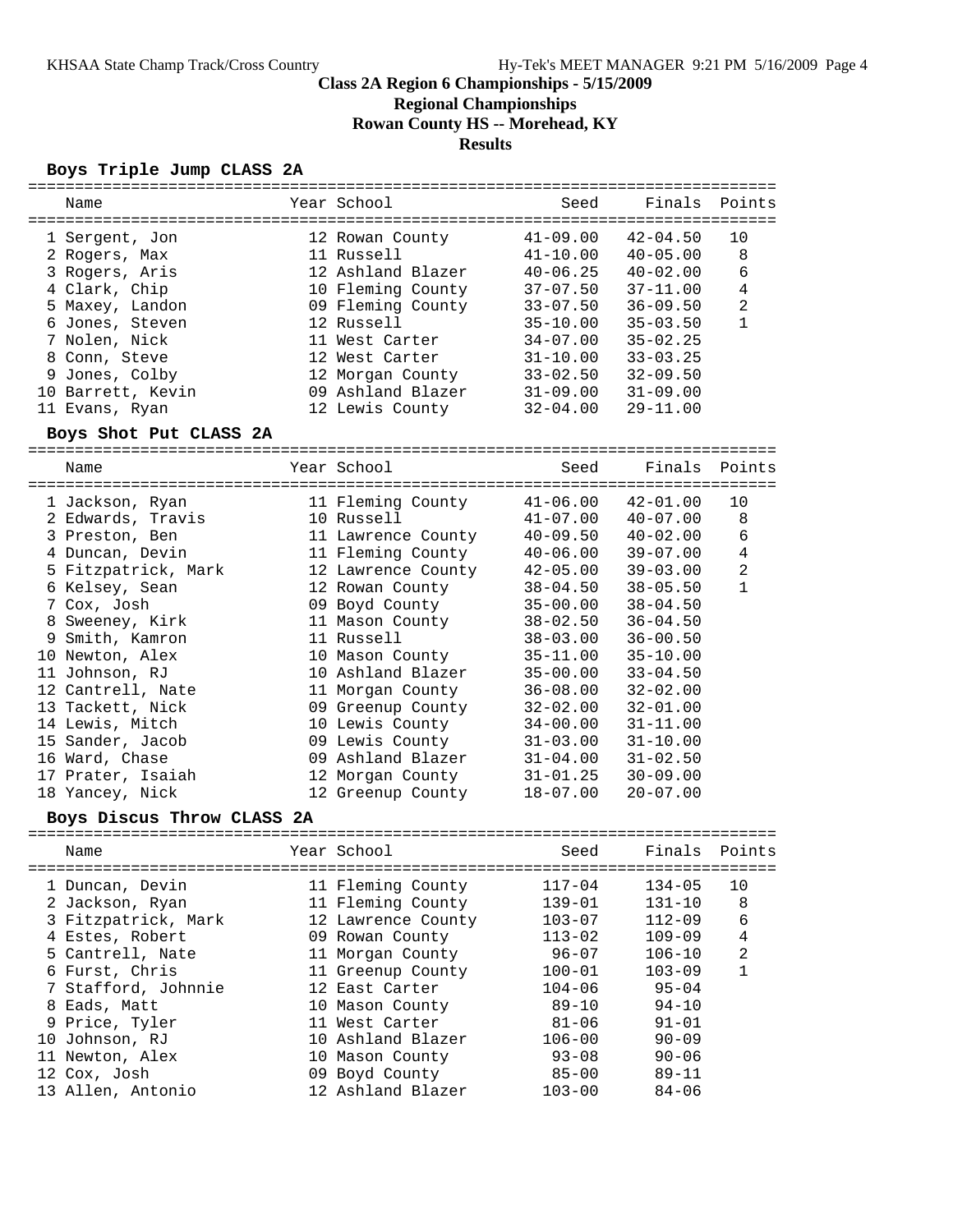**Regional Championships**

**Rowan County HS -- Morehead, KY**

## **Results**

#### **Boys Triple Jump CLASS 2A**

| Name                       |  | Year School        | Seed         | Finals       | Points         |  |  |
|----------------------------|--|--------------------|--------------|--------------|----------------|--|--|
|                            |  |                    |              |              |                |  |  |
| 1 Sergent, Jon             |  | 12 Rowan County    | $41 - 09.00$ | $42 - 04.50$ | 10             |  |  |
| 2 Rogers, Max              |  | 11 Russell         | $41 - 10.00$ | $40 - 05.00$ | 8              |  |  |
| 3 Rogers, Aris             |  | 12 Ashland Blazer  | $40 - 06.25$ | $40 - 02.00$ | 6              |  |  |
| 4 Clark, Chip              |  | 10 Fleming County  | $37 - 07.50$ | $37 - 11.00$ | $\overline{4}$ |  |  |
| 5 Maxey, Landon            |  | 09 Fleming County  | $33 - 07.50$ | $36 - 09.50$ | $\overline{a}$ |  |  |
| 6 Jones, Steven            |  | 12 Russell         | $35 - 10.00$ | $35 - 03.50$ | $\mathbf{1}$   |  |  |
| 7 Nolen, Nick              |  | 11 West Carter     | $34 - 07.00$ | $35 - 02.25$ |                |  |  |
| 8 Conn, Steve              |  | 12 West Carter     | $31 - 10.00$ | $33 - 03.25$ |                |  |  |
| 9 Jones, Colby             |  | 12 Morgan County   | $33 - 02.50$ | $32 - 09.50$ |                |  |  |
| 10 Barrett, Kevin          |  | 09 Ashland Blazer  | $31 - 09.00$ | $31 - 09.00$ |                |  |  |
| 11 Evans, Ryan             |  | 12 Lewis County    | $32 - 04.00$ | $29 - 11.00$ |                |  |  |
| Boys Shot Put CLASS 2A     |  |                    |              |              |                |  |  |
|                            |  |                    |              |              |                |  |  |
| Name                       |  | Year School        | Seed         | Finals       | Points         |  |  |
| 1 Jackson, Ryan            |  | 11 Fleming County  | $41 - 06.00$ | $42 - 01.00$ | 10             |  |  |
| 2 Edwards, Travis          |  | 10 Russell         | $41 - 07.00$ | $40 - 07.00$ | 8              |  |  |
| 3 Preston, Ben             |  | 11 Lawrence County | $40 - 09.50$ | $40 - 02.00$ | 6              |  |  |
| 4 Duncan, Devin            |  | 11 Fleming County  | $40 - 06.00$ | $39 - 07.00$ | $\overline{4}$ |  |  |
| 5 Fitzpatrick, Mark        |  | 12 Lawrence County | $42 - 05.00$ | $39 - 03.00$ | $\overline{2}$ |  |  |
| 6 Kelsey, Sean             |  | 12 Rowan County    | $38 - 04.50$ | $38 - 05.50$ | $\mathbf{1}$   |  |  |
| 7 Cox, Josh                |  | 09 Boyd County     | $35 - 00.00$ | $38 - 04.50$ |                |  |  |
| 8 Sweeney, Kirk            |  | 11 Mason County    | $38 - 02.50$ | $36 - 04.50$ |                |  |  |
| 9 Smith, Kamron            |  | 11 Russell         | $38 - 03.00$ | $36 - 00.50$ |                |  |  |
| 10 Newton, Alex            |  | 10 Mason County    | $35 - 11.00$ | $35 - 10.00$ |                |  |  |
| 11 Johnson, RJ             |  | 10 Ashland Blazer  | $35 - 00.00$ | $33 - 04.50$ |                |  |  |
| 12 Cantrell, Nate          |  | 11 Morgan County   | $36 - 08.00$ | $32 - 02.00$ |                |  |  |
| 13 Tackett, Nick           |  | 09 Greenup County  | $32 - 02.00$ | $32 - 01.00$ |                |  |  |
| 14 Lewis, Mitch            |  | 10 Lewis County    | $34 - 00.00$ | $31 - 11.00$ |                |  |  |
| 15 Sander, Jacob           |  | 09 Lewis County    | $31 - 03.00$ | $31 - 10.00$ |                |  |  |
| 16 Ward, Chase             |  | 09 Ashland Blazer  | $31 - 04.00$ | $31 - 02.50$ |                |  |  |
| 17 Prater, Isaiah          |  | 12 Morgan County   | $31 - 01.25$ | $30 - 09.00$ |                |  |  |
| 18 Yancey, Nick            |  | 12 Greenup County  | $18 - 07.00$ | $20 - 07.00$ |                |  |  |
| Boys Discus Throw CLASS 2A |  |                    |              |              |                |  |  |
|                            |  |                    |              |              |                |  |  |
| Name                       |  | Year School        | Seed         | Finals       | Points         |  |  |
| 1 Duncan, Devin            |  | 11 Fleming County  | $117 - 04$   | $134 - 05$   | 10             |  |  |
| 2 Jackson, Ryan            |  | 11 Fleming County  | $139 - 01$   | $131 - 10$   | 8              |  |  |
| 3 Fitzpatrick, Mark        |  | 12 Lawrence County | $103 - 07$   | $112 - 09$   | 6              |  |  |
| 4 Estes, Robert            |  | 09 Rowan County    | $113 - 02$   | $109 - 09$   | 4              |  |  |
| 5 Cantrell, Nate           |  | 11 Morgan County   | $96 - 07$    | $106 - 10$   | $\sqrt{2}$     |  |  |
| 6 Furst, Chris             |  | 11 Greenup County  | $100 - 01$   | $103 - 09$   | $\mathbf{1}$   |  |  |
| 7 Stafford, Johnnie        |  | 12 East Carter     | $104 - 06$   | $95 - 04$    |                |  |  |
| 8 Eads, Matt               |  | 10 Mason County    | $89 - 10$    | $94 - 10$    |                |  |  |
| 9 Price, Tyler             |  | 11 West Carter     | $81 - 06$    | $91 - 01$    |                |  |  |
| 10 Johnson, RJ             |  | 10 Ashland Blazer  | $106 - 00$   | $90 - 09$    |                |  |  |
| 11 Newton, Alex            |  | 10 Mason County    | $93 - 08$    | $90 - 06$    |                |  |  |
| 12 Cox, Josh               |  | 09 Boyd County     | $85 - 00$    | $89 - 11$    |                |  |  |
| 13 Allen, Antonio          |  | 12 Ashland Blazer  | $103 - 00$   | $84 - 06$    |                |  |  |
|                            |  |                    |              |              |                |  |  |